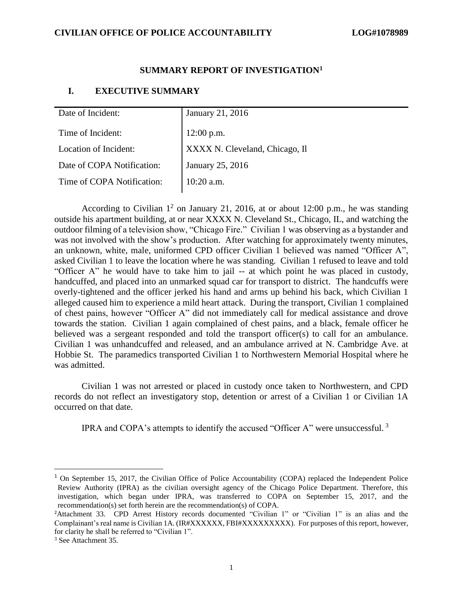#### **SUMMARY REPORT OF INVESTIGATION<sup>1</sup>**

#### **I. EXECUTIVE SUMMARY**

| Date of Incident:          | January 21, 2016                             |
|----------------------------|----------------------------------------------|
| Time of Incident:          | 12:00 p.m.<br>XXXX N. Cleveland, Chicago, Il |
| Location of Incident:      |                                              |
| Date of COPA Notification: | January 25, 2016                             |
| Time of COPA Notification: | 10:20 a.m.                                   |
|                            |                                              |

According to Civilian  $1^2$  on January 21, 2016, at or about 12:00 p.m., he was standing outside his apartment building, at or near XXXX N. Cleveland St., Chicago, IL, and watching the outdoor filming of a television show, "Chicago Fire." Civilian 1 was observing as a bystander and was not involved with the show's production. After watching for approximately twenty minutes, an unknown, white, male, uniformed CPD officer Civilian 1 believed was named "Officer A", asked Civilian 1 to leave the location where he was standing. Civilian 1 refused to leave and told "Officer A" he would have to take him to jail -- at which point he was placed in custody, handcuffed, and placed into an unmarked squad car for transport to district. The handcuffs were overly-tightened and the officer jerked his hand and arms up behind his back, which Civilian 1 alleged caused him to experience a mild heart attack. During the transport, Civilian 1 complained of chest pains, however "Officer A" did not immediately call for medical assistance and drove towards the station. Civilian 1 again complained of chest pains, and a black, female officer he believed was a sergeant responded and told the transport officer(s) to call for an ambulance. Civilian 1 was unhandcuffed and released, and an ambulance arrived at N. Cambridge Ave. at Hobbie St. The paramedics transported Civilian 1 to Northwestern Memorial Hospital where he was admitted.

Civilian 1 was not arrested or placed in custody once taken to Northwestern, and CPD records do not reflect an investigatory stop, detention or arrest of a Civilian 1 or Civilian 1A occurred on that date.

IPRA and COPA's attempts to identify the accused "Officer A" were unsuccessful.  $3$ 

 $\overline{a}$ 

<sup>&</sup>lt;sup>1</sup> On September 15, 2017, the Civilian Office of Police Accountability (COPA) replaced the Independent Police Review Authority (IPRA) as the civilian oversight agency of the Chicago Police Department. Therefore, this investigation, which began under IPRA, was transferred to COPA on September 15, 2017, and the recommendation(s) set forth herein are the recommendation(s) of COPA.

<sup>2</sup>Attachment 33. CPD Arrest History records documented "Civilian 1" or "Civilian 1" is an alias and the Complainant's real name is Civilian 1A. (IR#XXXXXX, FBI#XXXXXXXXX). For purposes of this report, however, for clarity he shall be referred to "Civilian 1".

<sup>3</sup> See Attachment 35.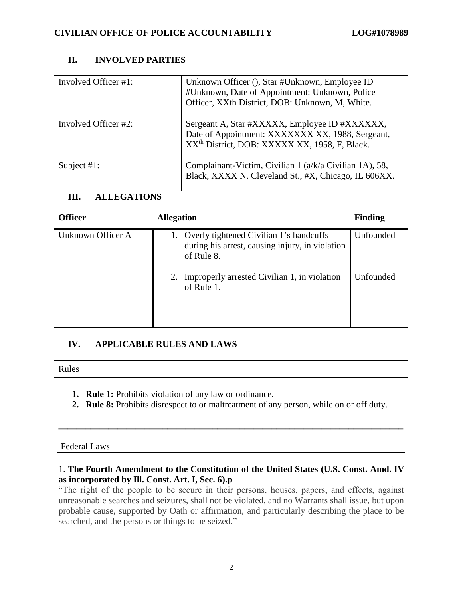## **II. INVOLVED PARTIES**

| Involved Officer #1: | Unknown Officer (), Star #Unknown, Employee ID<br>#Unknown, Date of Appointment: Unknown, Police<br>Officer, XXth District, DOB: Unknown, M, White.            |
|----------------------|----------------------------------------------------------------------------------------------------------------------------------------------------------------|
| Involved Officer #2: | Sergeant A, Star #XXXXX, Employee ID #XXXXXX,<br>Date of Appointment: XXXXXXX XX, 1988, Sergeant,<br>XX <sup>th</sup> District, DOB: XXXXX XX, 1958, F, Black. |
| Subject $#1$ :       | Complainant-Victim, Civilian 1 (a/k/a Civilian 1A), 58,<br>Black, XXXX N. Cleveland St., #X, Chicago, IL 606XX.                                                |

## **III. ALLEGATIONS**

| <b>Officer</b>    | <b>Allegation</b>                                                                                           | <b>Finding</b> |
|-------------------|-------------------------------------------------------------------------------------------------------------|----------------|
| Unknown Officer A | 1. Overly tightened Civilian 1's handcuffs<br>during his arrest, causing injury, in violation<br>of Rule 8. | Unfounded      |
|                   | Improperly arrested Civilian 1, in violation<br>2.<br>of Rule 1.                                            | Unfounded      |

## **IV. APPLICABLE RULES AND LAWS**

| Rules |
|-------|
|-------|

- **1. Rule 1:** Prohibits violation of any law or ordinance.
- **2. Rule 8:** Prohibits disrespect to or maltreatment of any person, while on or off duty.

**\_\_\_\_\_\_\_\_\_\_\_\_\_\_\_\_\_\_\_\_\_\_\_\_\_\_\_\_\_\_\_\_\_\_\_\_\_\_\_\_\_\_\_\_\_\_\_\_\_\_\_\_\_\_\_\_\_\_\_\_\_\_\_\_\_\_\_\_\_\_\_\_\_\_\_\_**

### Federal Laws

## 1. **The Fourth Amendment to the Constitution of the United States (U.S. Const. Amd. IV as incorporated by Ill. Const. Art. I, Sec. 6).p**

"The right of the people to be secure in their persons, houses, papers, and effects, against unreasonable searches and seizures, shall not be violated, and no Warrants shall issue, but upon probable cause, supported by Oath or affirmation, and particularly describing the place to be searched, and the persons or things to be seized."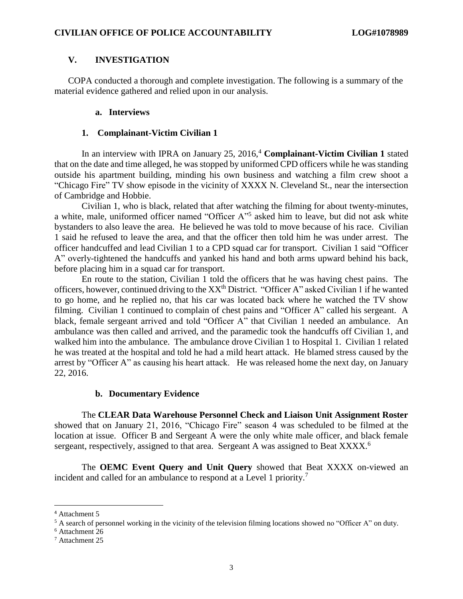### **V. INVESTIGATION**

COPA conducted a thorough and complete investigation. The following is a summary of the material evidence gathered and relied upon in our analysis.

#### **a. Interviews**

#### **1. Complainant-Victim Civilian 1**

In an interview with IPRA on January 25, 2016, <sup>4</sup> **Complainant-Victim Civilian 1** stated that on the date and time alleged, he was stopped by uniformed CPD officers while he was standing outside his apartment building, minding his own business and watching a film crew shoot a "Chicago Fire" TV show episode in the vicinity of XXXX N. Cleveland St., near the intersection of Cambridge and Hobbie.

Civilian 1, who is black, related that after watching the filming for about twenty-minutes, a white, male, uniformed officer named "Officer A" 5 asked him to leave, but did not ask white bystanders to also leave the area. He believed he was told to move because of his race. Civilian 1 said he refused to leave the area, and that the officer then told him he was under arrest. The officer handcuffed and lead Civilian 1 to a CPD squad car for transport. Civilian 1 said "Officer A" overly-tightened the handcuffs and yanked his hand and both arms upward behind his back, before placing him in a squad car for transport.

En route to the station, Civilian 1 told the officers that he was having chest pains. The officers, however, continued driving to the XX<sup>th</sup> District. "Officer A" asked Civilian 1 if he wanted to go home, and he replied no, that his car was located back where he watched the TV show filming. Civilian 1 continued to complain of chest pains and "Officer A" called his sergeant. A black, female sergeant arrived and told "Officer A" that Civilian 1 needed an ambulance. An ambulance was then called and arrived, and the paramedic took the handcuffs off Civilian 1, and walked him into the ambulance. The ambulance drove Civilian 1 to Hospital 1. Civilian 1 related he was treated at the hospital and told he had a mild heart attack. He blamed stress caused by the arrest by "Officer A" as causing his heart attack. He was released home the next day, on January 22, 2016.

#### **b. Documentary Evidence**

The **CLEAR Data Warehouse Personnel Check and Liaison Unit Assignment Roster**  showed that on January 21, 2016, "Chicago Fire" season 4 was scheduled to be filmed at the location at issue. Officer B and Sergeant A were the only white male officer, and black female sergeant, respectively, assigned to that area. Sergeant A was assigned to Beat XXXX.<sup>6</sup>

The **OEMC Event Query and Unit Query** showed that Beat XXXX on-viewed an incident and called for an ambulance to respond at a Level 1 priority.<sup>7</sup>

 $\overline{a}$ 

<sup>4</sup> Attachment 5

<sup>&</sup>lt;sup>5</sup> A search of personnel working in the vicinity of the television filming locations showed no "Officer A" on duty.

<sup>6</sup> Attachment 26

<sup>7</sup> Attachment 25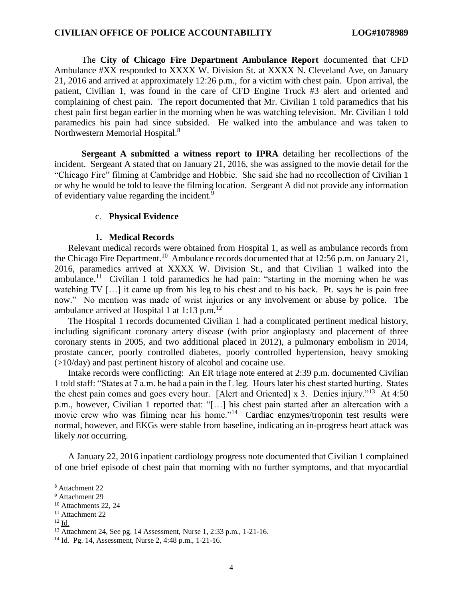The **City of Chicago Fire Department Ambulance Report** documented that CFD Ambulance #XX responded to XXXX W. Division St. at XXXX N. Cleveland Ave, on January 21, 2016 and arrived at approximately 12:26 p.m., for a victim with chest pain. Upon arrival, the patient, Civilian 1, was found in the care of CFD Engine Truck #3 alert and oriented and complaining of chest pain. The report documented that Mr. Civilian 1 told paramedics that his chest pain first began earlier in the morning when he was watching television. Mr. Civilian 1 told paramedics his pain had since subsided. He walked into the ambulance and was taken to Northwestern Memorial Hospital.<sup>8</sup>

**Sergeant A submitted a witness report to IPRA** detailing her recollections of the incident. Sergeant A stated that on January 21, 2016, she was assigned to the movie detail for the "Chicago Fire" filming at Cambridge and Hobbie. She said she had no recollection of Civilian 1 or why he would be told to leave the filming location. Sergeant A did not provide any information of evidentiary value regarding the incident.<sup>9</sup>

#### c. **Physical Evidence**

#### **1. Medical Records**

Relevant medical records were obtained from Hospital 1, as well as ambulance records from the Chicago Fire Department.<sup>10</sup> Ambulance records documented that at 12:56 p.m. on January 21, 2016, paramedics arrived at XXXX W. Division St., and that Civilian 1 walked into the ambulance.<sup>11</sup> Civilian 1 told paramedics he had pain: "starting in the morning when he was watching TV [...] it came up from his leg to his chest and to his back. Pt. says he is pain free now." No mention was made of wrist injuries or any involvement or abuse by police. The ambulance arrived at Hospital 1 at 1:13 p.m. $^{12}$ 

The Hospital 1 records documented Civilian 1 had a complicated pertinent medical history, including significant coronary artery disease (with prior angioplasty and placement of three coronary stents in 2005, and two additional placed in 2012), a pulmonary embolism in 2014, prostate cancer, poorly controlled diabetes, poorly controlled hypertension, heavy smoking (>10/day) and past pertinent history of alcohol and cocaine use.

Intake records were conflicting: An ER triage note entered at 2:39 p.m. documented Civilian 1 told staff: "States at 7 a.m. he had a pain in the L leg. Hours later his chest started hurting. States the chest pain comes and goes every hour. [Alert and Oriented] x 3. Denies injury."<sup>13</sup> At 4:50 p.m., however, Civilian 1 reported that: "[…] his chest pain started after an altercation with a movie crew who was filming near his home."<sup>14</sup> Cardiac enzymes/troponin test results were normal, however, and EKGs were stable from baseline, indicating an in-progress heart attack was likely *not* occurring.

A January 22, 2016 inpatient cardiology progress note documented that Civilian 1 complained of one brief episode of chest pain that morning with no further symptoms, and that myocardial

 $\overline{\phantom{a}}$ 

<sup>8</sup> Attachment 22

<sup>9</sup> Attachment 29

<sup>&</sup>lt;sup>10</sup> Attachments 22, 24

<sup>&</sup>lt;sup>11</sup> Attachment 22

<sup>12</sup> Id.

<sup>13</sup> Attachment 24, See pg. 14 Assessment, Nurse 1, 2:33 p.m., 1-21-16.

<sup>14</sup> Id. Pg. 14, Assessment, Nurse 2, 4:48 p.m., 1-21-16.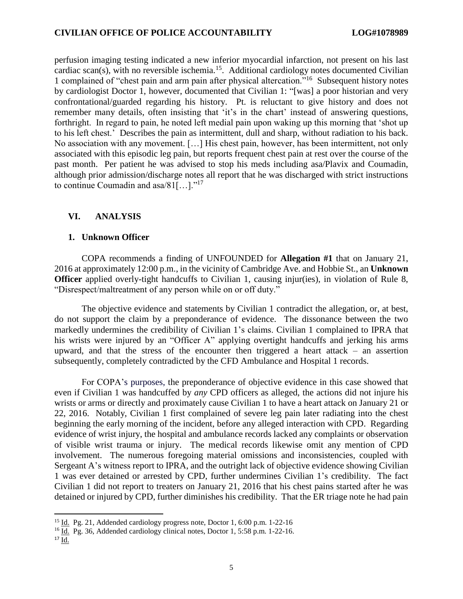perfusion imaging testing indicated a new inferior myocardial infarction, not present on his last cardiac scan(s), with no reversible ischemia.<sup>15</sup>. Additional cardiology notes documented Civilian 1 complained of "chest pain and arm pain after physical altercation."<sup>16</sup> Subsequent history notes by cardiologist Doctor 1, however, documented that Civilian 1: "[was] a poor historian and very confrontational/guarded regarding his history. Pt. is reluctant to give history and does not remember many details, often insisting that 'it's in the chart' instead of answering questions, forthright. In regard to pain, he noted left medial pain upon waking up this morning that 'shot up to his left chest.' Describes the pain as intermittent, dull and sharp, without radiation to his back. No association with any movement. […] His chest pain, however, has been intermittent, not only associated with this episodic leg pain, but reports frequent chest pain at rest over the course of the past month. Per patient he was advised to stop his meds including asa/Plavix and Coumadin, although prior admission/discharge notes all report that he was discharged with strict instructions to continue Coumadin and asa/81[...]."<sup>17</sup>

## **VI. ANALYSIS**

### **1. Unknown Officer**

COPA recommends a finding of UNFOUNDED for **Allegation #1** that on January 21, 2016 at approximately 12:00 p.m., in the vicinity of Cambridge Ave. and Hobbie St., an **Unknown Officer** applied overly-tight handcuffs to Civilian 1, causing injur(ies), in violation of Rule 8, "Disrespect/maltreatment of any person while on or off duty."

The objective evidence and statements by Civilian 1 contradict the allegation, or, at best, do not support the claim by a preponderance of evidence. The dissonance between the two markedly undermines the credibility of Civilian 1's claims. Civilian 1 complained to IPRA that his wrists were injured by an "Officer A" applying overtight handcuffs and jerking his arms upward, and that the stress of the encounter then triggered a heart attack – an assertion subsequently, completely contradicted by the CFD Ambulance and Hospital 1 records.

For COPA's purposes, the preponderance of objective evidence in this case showed that even if Civilian 1 was handcuffed by *any* CPD officers as alleged, the actions did not injure his wrists or arms or directly and proximately cause Civilian 1 to have a heart attack on January 21 or 22, 2016. Notably, Civilian 1 first complained of severe leg pain later radiating into the chest beginning the early morning of the incident, before any alleged interaction with CPD. Regarding evidence of wrist injury, the hospital and ambulance records lacked any complaints or observation of visible wrist trauma or injury. The medical records likewise omit any mention of CPD involvement. The numerous foregoing material omissions and inconsistencies, coupled with Sergeant A's witness report to IPRA, and the outright lack of objective evidence showing Civilian 1 was ever detained or arrested by CPD, further undermines Civilian 1's credibility. The fact Civilian 1 did not report to treaters on January 21, 2016 that his chest pains started after he was detained or injured by CPD, further diminishes his credibility. That the ER triage note he had pain

 $\overline{\phantom{a}}$ 

<sup>15</sup> Id. Pg. 21, Addended cardiology progress note, Doctor 1, 6:00 p.m. 1-22-16

<sup>16</sup> Id. Pg. 36, Addended cardiology clinical notes, Doctor 1, 5:58 p.m. 1-22-16.

 $17 \underline{Id}$ .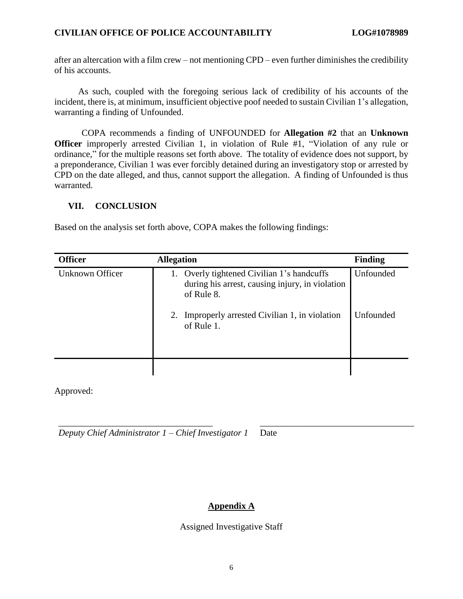## **CIVILIAN OFFICE OF POLICE ACCOUNTABILITY LOG#1078989**

after an altercation with a film crew – not mentioning CPD *–* even further diminishes the credibility of his accounts.

As such, coupled with the foregoing serious lack of credibility of his accounts of the incident, there is, at minimum, insufficient objective poof needed to sustain Civilian 1's allegation, warranting a finding of Unfounded.

COPA recommends a finding of UNFOUNDED for **Allegation #2** that an **Unknown Officer** improperly arrested Civilian 1, in violation of Rule #1, "Violation of any rule or ordinance," for the multiple reasons set forth above. The totality of evidence does not support, by a preponderance, Civilian 1 was ever forcibly detained during an investigatory stop or arrested by CPD on the date alleged, and thus, cannot support the allegation. A finding of Unfounded is thus warranted.

## **VII. CONCLUSION**

Based on the analysis set forth above, COPA makes the following findings:

| <b>Officer</b>  | <b>Allegation</b>                                                                                           | <b>Finding</b> |
|-----------------|-------------------------------------------------------------------------------------------------------------|----------------|
| Unknown Officer | 1. Overly tightened Civilian 1's handcuffs<br>during his arrest, causing injury, in violation<br>of Rule 8. | Unfounded      |
|                 | 2. Improperly arrested Civilian 1, in violation<br>of Rule 1.                                               | Unfounded      |
|                 |                                                                                                             |                |

Approved:

*Deputy Chief Administrator 1 – Chief Investigator 1* Date

## **Appendix A**

\_\_\_\_\_\_\_\_\_\_\_\_\_\_\_\_\_\_\_\_\_\_\_\_\_\_\_\_\_\_\_\_\_\_ \_\_\_\_\_\_\_\_\_\_\_\_\_\_\_\_\_\_\_\_\_\_\_\_\_\_\_\_\_\_\_\_\_\_

### Assigned Investigative Staff